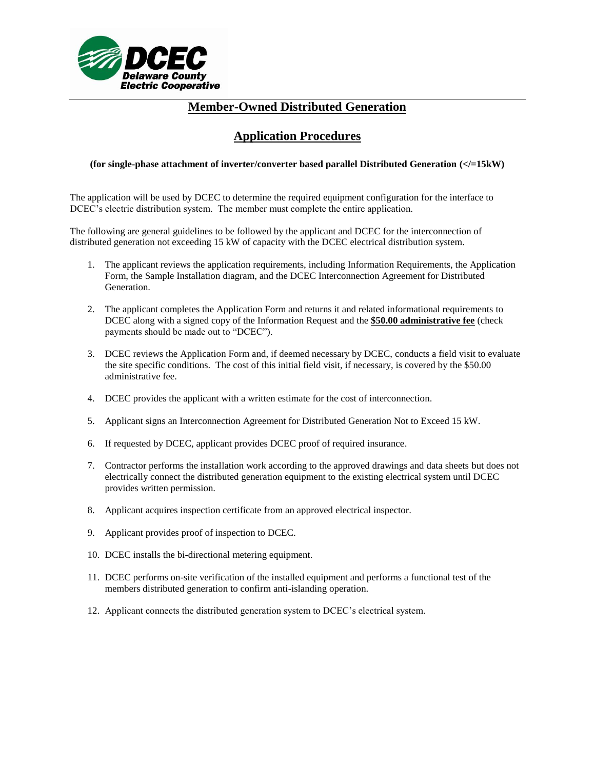

# **Application Procedures**

#### **(for single-phase attachment of inverter/converter based parallel Distributed Generation (</=15kW)**

The application will be used by DCEC to determine the required equipment configuration for the interface to DCEC's electric distribution system. The member must complete the entire application.

The following are general guidelines to be followed by the applicant and DCEC for the interconnection of distributed generation not exceeding 15 kW of capacity with the DCEC electrical distribution system.

- 1. The applicant reviews the application requirements, including Information Requirements, the Application Form, the Sample Installation diagram, and the DCEC Interconnection Agreement for Distributed Generation.
- 2. The applicant completes the Application Form and returns it and related informational requirements to DCEC along with a signed copy of the Information Request and the **\$50.00 administrative fee** (check payments should be made out to "DCEC").
- 3. DCEC reviews the Application Form and, if deemed necessary by DCEC, conducts a field visit to evaluate the site specific conditions. The cost of this initial field visit, if necessary, is covered by the \$50.00 administrative fee.
- 4. DCEC provides the applicant with a written estimate for the cost of interconnection.
- 5. Applicant signs an Interconnection Agreement for Distributed Generation Not to Exceed 15 kW.
- 6. If requested by DCEC, applicant provides DCEC proof of required insurance.
- 7. Contractor performs the installation work according to the approved drawings and data sheets but does not electrically connect the distributed generation equipment to the existing electrical system until DCEC provides written permission.
- 8. Applicant acquires inspection certificate from an approved electrical inspector.
- 9. Applicant provides proof of inspection to DCEC.
- 10. DCEC installs the bi-directional metering equipment.
- 11. DCEC performs on-site verification of the installed equipment and performs a functional test of the members distributed generation to confirm anti-islanding operation.
- 12. Applicant connects the distributed generation system to DCEC's electrical system.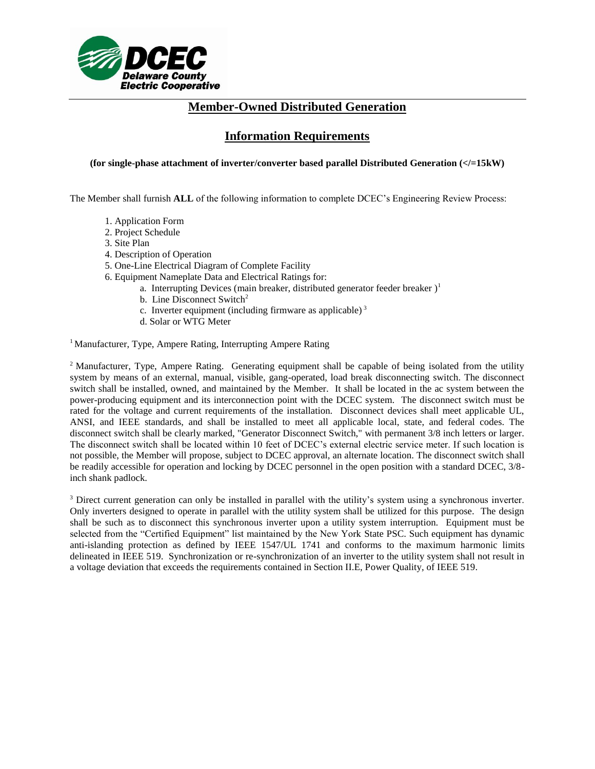

# **Information Requirements**

#### **(for single-phase attachment of inverter/converter based parallel Distributed Generation (</=15kW)**

The Member shall furnish **ALL** of the following information to complete DCEC's Engineering Review Process:

- 1. Application Form
- 2. Project Schedule
- 3. Site Plan
- 4. Description of Operation
- 5. One-Line Electrical Diagram of Complete Facility
- 6. Equipment Nameplate Data and Electrical Ratings for:
	- a. Interrupting Devices (main breaker, distributed generator feeder breaker)<sup>1</sup>
	- b. Line Disconnect Switch<sup>2</sup>
	- c. Inverter equipment (including firmware as applicable) <sup>3</sup>
	- d. Solar or WTG Meter

<sup>1</sup> Manufacturer, Type, Ampere Rating, Interrupting Ampere Rating

<sup>2</sup> Manufacturer, Type, Ampere Rating. Generating equipment shall be capable of being isolated from the utility system by means of an external, manual, visible, gang-operated, load break disconnecting switch. The disconnect switch shall be installed, owned, and maintained by the Member. It shall be located in the ac system between the power-producing equipment and its interconnection point with the DCEC system. The disconnect switch must be rated for the voltage and current requirements of the installation. Disconnect devices shall meet applicable UL, ANSI, and IEEE standards, and shall be installed to meet all applicable local, state, and federal codes. The disconnect switch shall be clearly marked, "Generator Disconnect Switch," with permanent 3/8 inch letters or larger. The disconnect switch shall be located within 10 feet of DCEC's external electric service meter. If such location is not possible, the Member will propose, subject to DCEC approval, an alternate location. The disconnect switch shall be readily accessible for operation and locking by DCEC personnel in the open position with a standard DCEC, 3/8 inch shank padlock.

<sup>3</sup> Direct current generation can only be installed in parallel with the utility's system using a synchronous inverter. Only inverters designed to operate in parallel with the utility system shall be utilized for this purpose. The design shall be such as to disconnect this synchronous inverter upon a utility system interruption. Equipment must be selected from the "Certified Equipment" list maintained by the New York State PSC. Such equipment has dynamic anti-islanding protection as defined by IEEE 1547/UL 1741 and conforms to the maximum harmonic limits delineated in IEEE 519. Synchronization or re-synchronization of an inverter to the utility system shall not result in a voltage deviation that exceeds the requirements contained in Section II.E, Power Quality, of IEEE 519.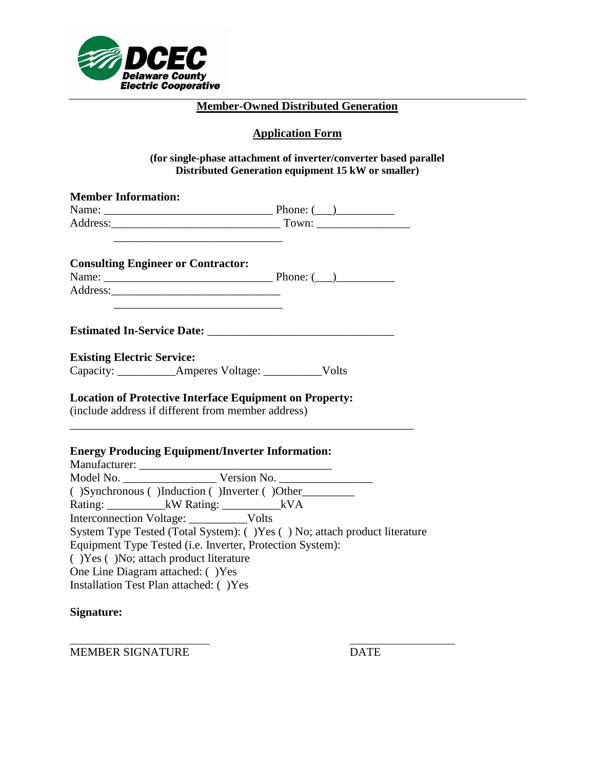

# **Application Form**

#### **(for single-phase attachment of inverter/converter based parallel Distributed Generation equipment 15 kW or smaller)**

| <b>Member Information:</b>                                                                                                                                                                                                          |                                                                            |
|-------------------------------------------------------------------------------------------------------------------------------------------------------------------------------------------------------------------------------------|----------------------------------------------------------------------------|
|                                                                                                                                                                                                                                     |                                                                            |
| the control of the control of the control of the control of the control of the control of                                                                                                                                           |                                                                            |
| <b>Consulting Engineer or Contractor:</b>                                                                                                                                                                                           |                                                                            |
| Address: <u>Address</u> and the contract of the contract of the contract of the contract of the contract of the contract of the contract of the contract of the contract of the contract of the contract of the contract of the con |                                                                            |
|                                                                                                                                                                                                                                     |                                                                            |
| <b>Existing Electric Service:</b>                                                                                                                                                                                                   |                                                                            |
| Capacity: _____________Amperes Voltage: ____________Volts                                                                                                                                                                           |                                                                            |
| <b>Location of Protective Interface Equipment on Property:</b><br>(include address if different from member address)                                                                                                                |                                                                            |
| <b>Energy Producing Equipment/Inverter Information:</b>                                                                                                                                                                             |                                                                            |
|                                                                                                                                                                                                                                     |                                                                            |
| ()Synchronous ()Induction ()Inverter ()Other                                                                                                                                                                                        |                                                                            |
| Rating: _____________kW Rating: _________________kVA                                                                                                                                                                                |                                                                            |
| Interconnection Voltage: ____________Volts                                                                                                                                                                                          |                                                                            |
|                                                                                                                                                                                                                                     | System Type Tested (Total System): () Yes () No; attach product literature |
| Equipment Type Tested (i.e. Inverter, Protection System):                                                                                                                                                                           |                                                                            |
| () Yes () No; attach product literature                                                                                                                                                                                             |                                                                            |
| One Line Diagram attached: () Yes<br>Installation Test Plan attached: () Yes                                                                                                                                                        |                                                                            |
|                                                                                                                                                                                                                                     |                                                                            |

# **Signature:**

MEMBER SIGNATURE DATE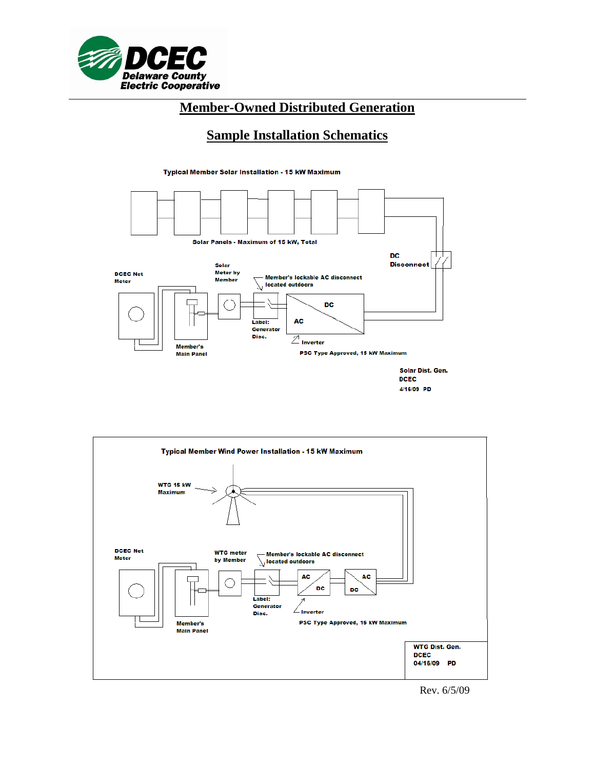

# **Sample Installation Schematics**

Typical Member Solar Installation - 15 kW Maximum



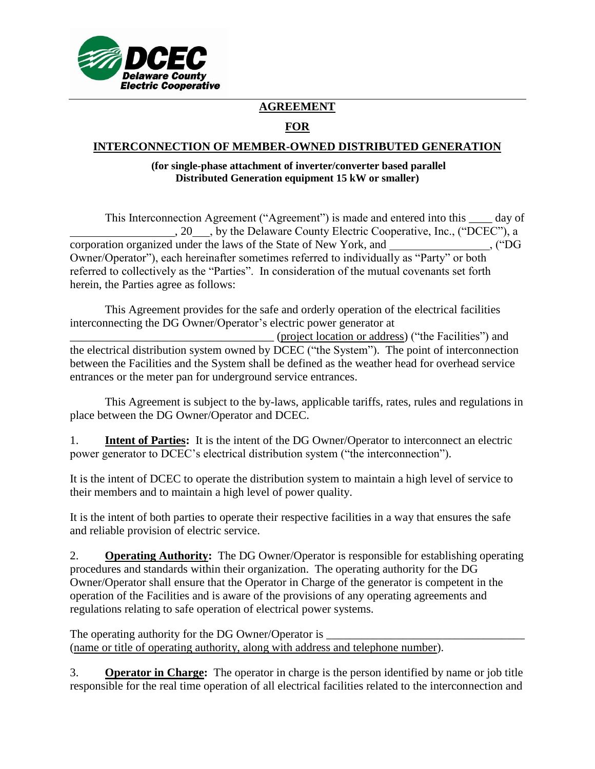

# **AGREEMENT**

# **FOR**

## **INTERCONNECTION OF MEMBER-OWNED DISTRIBUTED GENERATION**

#### **(for single-phase attachment of inverter/converter based parallel Distributed Generation equipment 15 kW or smaller)**

This Interconnection Agreement ("Agreement") is made and entered into this \_\_\_\_ day of , 20 , by the Delaware County Electric Cooperative, Inc., ("DCEC"), a corporation organized under the laws of the State of New York, and \_\_\_\_\_\_\_\_\_\_\_\_\_\_, ("DG Owner/Operator"), each hereinafter sometimes referred to individually as "Party" or both referred to collectively as the "Parties". In consideration of the mutual covenants set forth herein, the Parties agree as follows:

This Agreement provides for the safe and orderly operation of the electrical facilities interconnecting the DG Owner/Operator's electric power generator at

\_\_\_\_\_\_\_\_\_\_\_\_\_\_\_\_\_\_\_\_\_\_\_\_\_\_\_\_\_\_\_\_\_\_\_ (project location or address) ("the Facilities") and the electrical distribution system owned by DCEC ("the System"). The point of interconnection between the Facilities and the System shall be defined as the weather head for overhead service entrances or the meter pan for underground service entrances.

This Agreement is subject to the by-laws, applicable tariffs, rates, rules and regulations in place between the DG Owner/Operator and DCEC.

1. **Intent of Parties:** It is the intent of the DG Owner/Operator to interconnect an electric power generator to DCEC's electrical distribution system ("the interconnection").

It is the intent of DCEC to operate the distribution system to maintain a high level of service to their members and to maintain a high level of power quality.

It is the intent of both parties to operate their respective facilities in a way that ensures the safe and reliable provision of electric service.

2. **Operating Authority:** The DG Owner/Operator is responsible for establishing operating procedures and standards within their organization. The operating authority for the DG Owner/Operator shall ensure that the Operator in Charge of the generator is competent in the operation of the Facilities and is aware of the provisions of any operating agreements and regulations relating to safe operation of electrical power systems.

The operating authority for the DG Owner/Operator is (name or title of operating authority, along with address and telephone number).

3. **Operator in Charge:** The operator in charge is the person identified by name or job title responsible for the real time operation of all electrical facilities related to the interconnection and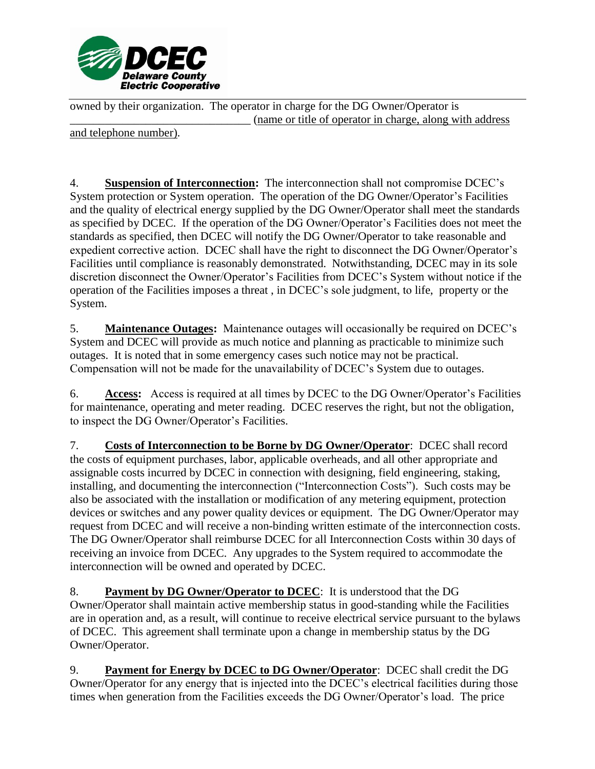

owned by their organization. The operator in charge for the DG Owner/Operator is \_\_\_\_\_\_\_\_\_\_\_\_\_\_\_\_\_\_\_\_\_\_\_\_\_\_\_\_\_\_\_ (name or title of operator in charge, along with address

and telephone number).

4. **Suspension of Interconnection:** The interconnection shall not compromise DCEC's System protection or System operation. The operation of the DG Owner/Operator's Facilities and the quality of electrical energy supplied by the DG Owner/Operator shall meet the standards as specified by DCEC. If the operation of the DG Owner/Operator's Facilities does not meet the standards as specified, then DCEC will notify the DG Owner/Operator to take reasonable and expedient corrective action. DCEC shall have the right to disconnect the DG Owner/Operator's Facilities until compliance is reasonably demonstrated. Notwithstanding, DCEC may in its sole discretion disconnect the Owner/Operator's Facilities from DCEC's System without notice if the operation of the Facilities imposes a threat , in DCEC's sole judgment, to life, property or the System.

5. **Maintenance Outages:** Maintenance outages will occasionally be required on DCEC's System and DCEC will provide as much notice and planning as practicable to minimize such outages. It is noted that in some emergency cases such notice may not be practical. Compensation will not be made for the unavailability of DCEC's System due to outages.

6. **Access:** Access is required at all times by DCEC to the DG Owner/Operator's Facilities for maintenance, operating and meter reading. DCEC reserves the right, but not the obligation, to inspect the DG Owner/Operator's Facilities.

7. **Costs of Interconnection to be Borne by DG Owner/Operator**: DCEC shall record the costs of equipment purchases, labor, applicable overheads, and all other appropriate and assignable costs incurred by DCEC in connection with designing, field engineering, staking, installing, and documenting the interconnection ("Interconnection Costs"). Such costs may be also be associated with the installation or modification of any metering equipment, protection devices or switches and any power quality devices or equipment. The DG Owner/Operator may request from DCEC and will receive a non-binding written estimate of the interconnection costs. The DG Owner/Operator shall reimburse DCEC for all Interconnection Costs within 30 days of receiving an invoice from DCEC. Any upgrades to the System required to accommodate the interconnection will be owned and operated by DCEC.

8. **Payment by DG Owner/Operator to DCEC**: It is understood that the DG Owner/Operator shall maintain active membership status in good-standing while the Facilities are in operation and, as a result, will continue to receive electrical service pursuant to the bylaws of DCEC. This agreement shall terminate upon a change in membership status by the DG Owner/Operator.

9. **Payment for Energy by DCEC to DG Owner/Operator**: DCEC shall credit the DG Owner/Operator for any energy that is injected into the DCEC's electrical facilities during those times when generation from the Facilities exceeds the DG Owner/Operator's load. The price